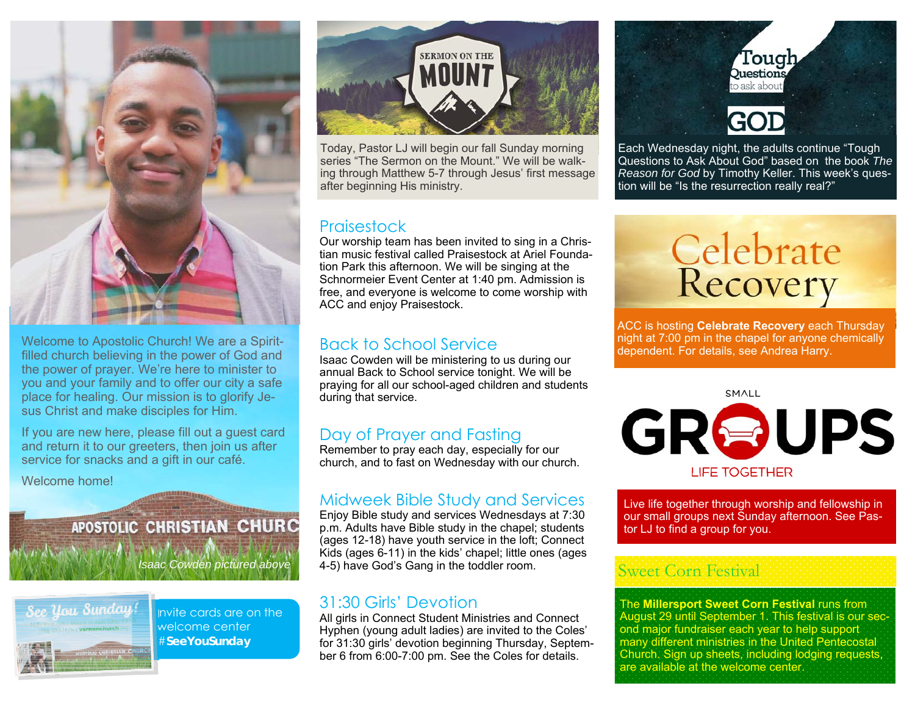

Welcome to Apostolic Church! We are a Spiritfilled church believing in the power of God and the power of prayer. We're here to minister to you and your family and to offer our city a safe place for healing. Our mission is to glorify Jesus Christ and make disciples for Him.

If you are new here, please fill out a guest card and return it to our greeters, then join us after service for snacks and a gift in our café.

Welcome home!

### APOSTOLIC CHRISTIAN CHURC

*Isaac Cowden pictured above* 



Invite cards are on the welcome center #**SeeYouSunday** 



Today, Pastor LJ will begin our fall Sunday morning series "The Sermon on the Mount." We will be walking through Matthew 5-7 through Jesus' first message after beginning His ministry.

#### **Praisestock**

Our worship team has been invited to sing in a Christian music festival called Praisestock at Ariel Foundation Park this afternoon. We will be singing at the Schnormeier Event Center at 1:40 pm. Admission is free, and everyone is welcome to come worship with ACC and enjoy Praisestock.

#### Back to School Service

Isaac Cowden will be ministering to us during our annual Back to School service tonight. We will be praying for all our school-aged children and students during that service.

#### Day of Prayer and Fasting

Remember to pray each day, especially for our church, and to fast on Wednesday with our church.

#### Midweek Bible Study and Services

Enjoy Bible study and services Wednesdays at 7:30 p.m. Adults have Bible study in the chapel; students (ages 12-18) have youth service in the loft; Connect Kids (ages 6-11) in the kids' chapel; little ones (ages 4-5) have God's Gang in the toddler room.

#### 31:30 Girls' Devotion

All girls in Connect Student Ministries and Connect Hyphen (young adult ladies) are invited to the Coles' for 31:30 girls' devotion beginning Thursday, September 6 from 6:00-7:00 pm. See the Coles for details.



Each Wednesday night, the adults continue "Tough Questions to Ask About God" based on the book *The Reason for God* by Timothy Keller. This week's question will be "Is the resurrection really real?"



ACC is hosting **Celebrate Recovery** each Thursday night at 7:00 pm in the chapel for anyone chemically dependent. For details, see Andrea Harry.

**SMALL** 

GROUPS **LIFE TOGETHER** 

Live life together through worship and fellowship in our small groups next Sunday afternoon. See Pastor LJ to find a group for you.

#### Sweet Corn Festival

The **Millersport Sweet Corn Festival** runs from August 29 until September 1. This festival is our second major fundraiser each year to help support many different ministries in the United Pentecostal Church. Sign up sheets, including lodging requests, are available at the welcome center.